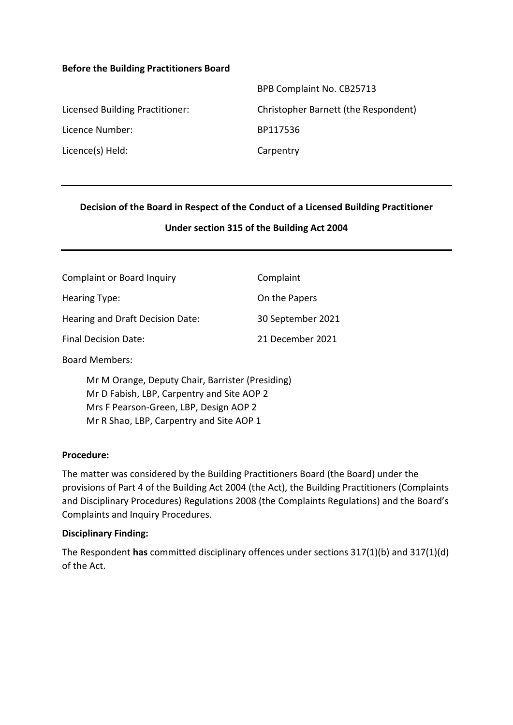#### **Before the Building Practitioners Board**

|                                 | BPB Complaint No. CB25713            |
|---------------------------------|--------------------------------------|
| Licensed Building Practitioner: | Christopher Barnett (the Respondent) |
| Licence Number:                 | BP117536                             |
| Licence(s) Held:                | Carpentry                            |

### **Decision of the Board in Respect of the Conduct of a Licensed Building Practitioner**

### **Under section 315 of the Building Act 2004**

| <b>Complaint or Board Inquiry</b> | Complaint         |
|-----------------------------------|-------------------|
| Hearing Type:                     | On the Papers     |
| Hearing and Draft Decision Date:  | 30 September 2021 |
| <b>Final Decision Date:</b>       | 21 December 2021  |

Board Members:

Mr M Orange, Deputy Chair, Barrister (Presiding) Mr D Fabish, LBP, Carpentry and Site AOP 2 Mrs F Pearson-Green, LBP, Design AOP 2 Mr R Shao, LBP, Carpentry and Site AOP 1

### **Procedure:**

The matter was considered by the Building Practitioners Board (the Board) under the provisions of Part 4 of the Building Act 2004 (the Act), the Building Practitioners (Complaints and Disciplinary Procedures) Regulations 2008 (the Complaints Regulations) and the Board's Complaints and Inquiry Procedures.

### **Disciplinary Finding:**

The Respondent **has** committed disciplinary offences under sections 317(1)(b) and 317(1)(d) of the Act.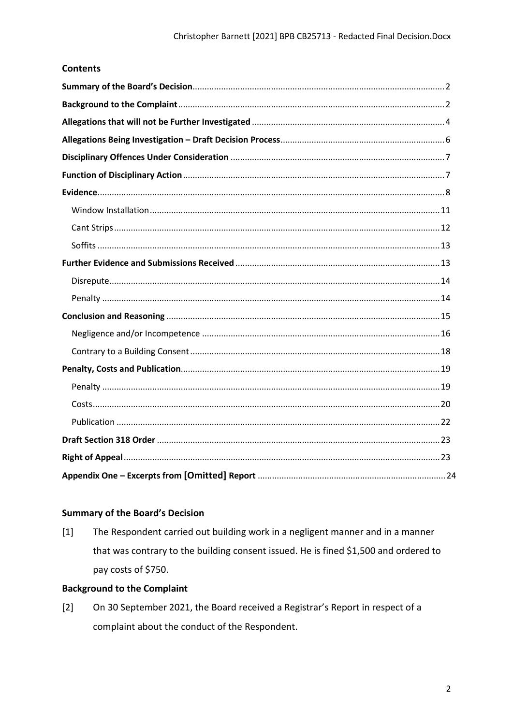## **Contents**

## <span id="page-1-0"></span>**Summary of the Board's Decision**

 $[1]$ The Respondent carried out building work in a negligent manner and in a manner that was contrary to the building consent issued. He is fined \$1,500 and ordered to pay costs of \$750.

## <span id="page-1-1"></span>**Background to the Complaint**

 $\lceil 2 \rceil$ On 30 September 2021, the Board received a Registrar's Report in respect of a complaint about the conduct of the Respondent.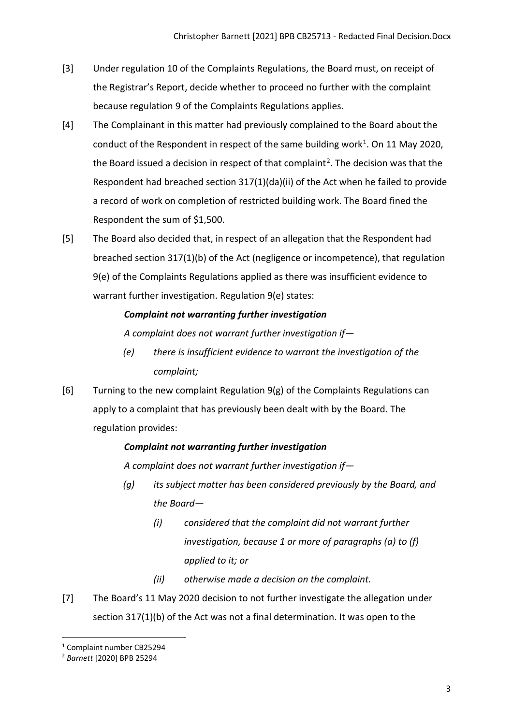- [3] Under regulation 10 of the Complaints Regulations, the Board must, on receipt of the Registrar's Report, decide whether to proceed no further with the complaint because regulation 9 of the Complaints Regulations applies.
- [4] The Complainant in this matter had previously complained to the Board about the conduct of the Respondent in respect of the same building work<sup>[1](#page-2-0)</sup>. On 11 May 2020, the Board issued a decision in respect of that complaint<sup>[2](#page-2-1)</sup>. The decision was that the Respondent had breached section 317(1)(da)(ii) of the Act when he failed to provide a record of work on completion of restricted building work. The Board fined the Respondent the sum of \$1,500.
- [5] The Board also decided that, in respect of an allegation that the Respondent had breached section 317(1)(b) of the Act (negligence or incompetence), that regulation 9(e) of the Complaints Regulations applied as there was insufficient evidence to warrant further investigation. Regulation 9(e) states:

# *Complaint not warranting further investigation*

*A complaint does not warrant further investigation if—* 

- *(e) there is insufficient evidence to warrant the investigation of the complaint;*
- [6] Turning to the new complaint Regulation 9(g) of the Complaints Regulations can apply to a complaint that has previously been dealt with by the Board. The regulation provides:

# *Complaint not warranting further investigation*

*A complaint does not warrant further investigation if—* 

- *(g) its subject matter has been considered previously by the Board, and the Board—* 
	- *(i) considered that the complaint did not warrant further investigation, because 1 or more of paragraphs (a) to (f) applied to it; or*
	- *(ii) otherwise made a decision on the complaint.*
- [7] The Board's 11 May 2020 decision to not further investigate the allegation under section 317(1)(b) of the Act was not a final determination. It was open to the

<span id="page-2-0"></span><sup>1</sup> Complaint number CB25294

<span id="page-2-1"></span><sup>2</sup> *Barnett* [2020] BPB 25294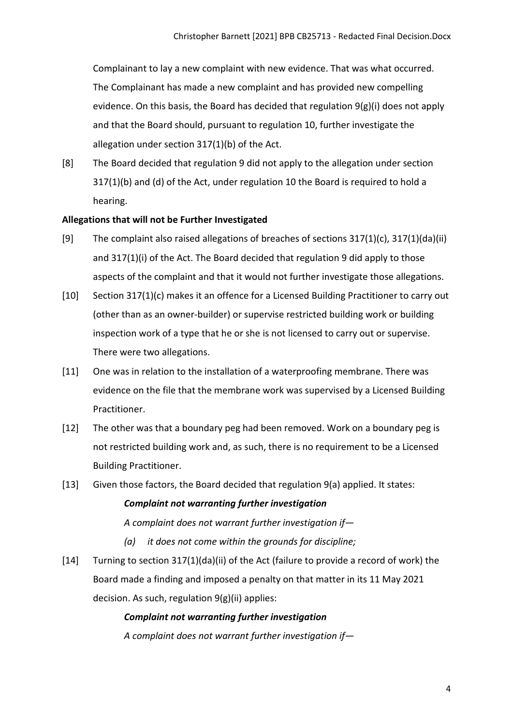Complainant to lay a new complaint with new evidence. That was what occurred. The Complainant has made a new complaint and has provided new compelling evidence. On this basis, the Board has decided that regulation 9(g)(i) does not apply and that the Board should, pursuant to regulation 10, further investigate the allegation under section 317(1)(b) of the Act.

[8] The Board decided that regulation 9 did not apply to the allegation under section 317(1)(b) and (d) of the Act, under regulation 10 the Board is required to hold a hearing.

#### <span id="page-3-0"></span>**Allegations that will not be Further Investigated**

- [9] The complaint also raised allegations of breaches of sections 317(1)(c), 317(1)(da)(ii) and 317(1)(i) of the Act. The Board decided that regulation 9 did apply to those aspects of the complaint and that it would not further investigate those allegations.
- [10] Section 317(1)(c) makes it an offence for a Licensed Building Practitioner to carry out (other than as an owner-builder) or supervise restricted building work or building inspection work of a type that he or she is not licensed to carry out or supervise. There were two allegations.
- [11] One was in relation to the installation of a waterproofing membrane. There was evidence on the file that the membrane work was supervised by a Licensed Building Practitioner.
- [12] The other was that a boundary peg had been removed. Work on a boundary peg is not restricted building work and, as such, there is no requirement to be a Licensed Building Practitioner.
- [13] Given those factors, the Board decided that regulation 9(a) applied. It states:

#### *Complaint not warranting further investigation*

*A complaint does not warrant further investigation if—* 

- *(a) it does not come within the grounds for discipline;*
- [14] Turning to section 317(1)(da)(ii) of the Act (failure to provide a record of work) the Board made a finding and imposed a penalty on that matter in its 11 May 2021 decision. As such, regulation 9(g)(ii) applies:

#### *Complaint not warranting further investigation*

*A complaint does not warrant further investigation if—*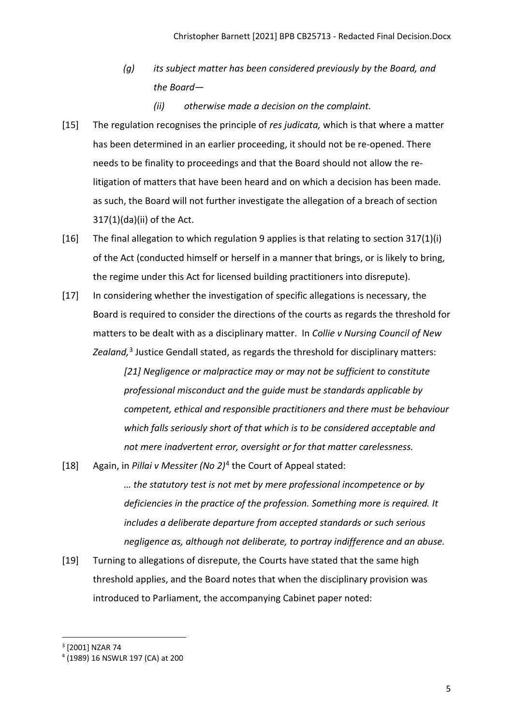- *(g) its subject matter has been considered previously by the Board, and the Board—* 
	- *(ii) otherwise made a decision on the complaint.*
- [15] The regulation recognises the principle of *res judicata,* which is that where a matter has been determined in an earlier proceeding, it should not be re-opened. There needs to be finality to proceedings and that the Board should not allow the relitigation of matters that have been heard and on which a decision has been made. as such, the Board will not further investigate the allegation of a breach of section 317(1)(da)(ii) of the Act.
- [16] The final allegation to which regulation 9 applies is that relating to section 317(1)(i) of the Act (conducted himself or herself in a manner that brings, or is likely to bring, the regime under this Act for licensed building practitioners into disrepute).
- [17] In considering whether the investigation of specific allegations is necessary, the Board is required to consider the directions of the courts as regards the threshold for matters to be dealt with as a disciplinary matter. In *Collie v Nursing Council of New Zealand,*[3](#page-4-0) Justice Gendall stated, as regards the threshold for disciplinary matters:

*[21] Negligence or malpractice may or may not be sufficient to constitute professional misconduct and the guide must be standards applicable by competent, ethical and responsible practitioners and there must be behaviour which falls seriously short of that which is to be considered acceptable and not mere inadvertent error, oversight or for that matter carelessness.*

[18] Again, in *Pillai v Messiter (No 2)*[4](#page-4-1) the Court of Appeal stated:

*… the statutory test is not met by mere professional incompetence or by deficiencies in the practice of the profession. Something more is required. It includes a deliberate departure from accepted standards or such serious negligence as, although not deliberate, to portray indifference and an abuse.*

[19] Turning to allegations of disrepute, the Courts have stated that the same high threshold applies, and the Board notes that when the disciplinary provision was introduced to Parliament, the accompanying Cabinet paper noted:

<span id="page-4-0"></span><sup>3</sup> [2001] NZAR 74

<span id="page-4-1"></span><sup>4</sup> (1989) 16 NSWLR 197 (CA) at 200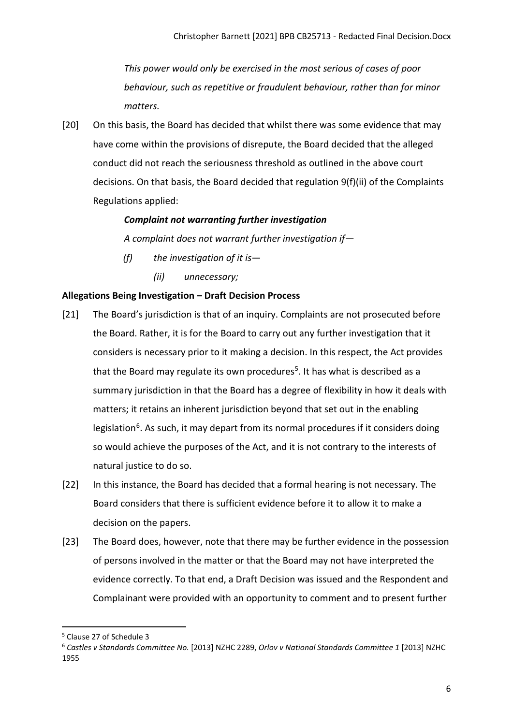*This power would only be exercised in the most serious of cases of poor behaviour, such as repetitive or fraudulent behaviour, rather than for minor matters.* 

[20] On this basis, the Board has decided that whilst there was some evidence that may have come within the provisions of disrepute, the Board decided that the alleged conduct did not reach the seriousness threshold as outlined in the above court decisions. On that basis, the Board decided that regulation 9(f)(ii) of the Complaints Regulations applied:

## *Complaint not warranting further investigation*

*A complaint does not warrant further investigation if—* 

- *(f) the investigation of it is—* 
	- *(ii) unnecessary;*

## <span id="page-5-0"></span>**Allegations Being Investigation – Draft Decision Process**

- [21] The Board's jurisdiction is that of an inquiry. Complaints are not prosecuted before the Board. Rather, it is for the Board to carry out any further investigation that it considers is necessary prior to it making a decision. In this respect, the Act provides that the Board may regulate its own procedures<sup>[5](#page-5-1)</sup>. It has what is described as a summary jurisdiction in that the Board has a degree of flexibility in how it deals with matters; it retains an inherent jurisdiction beyond that set out in the enabling legislation<sup>[6](#page-5-2)</sup>. As such, it may depart from its normal procedures if it considers doing so would achieve the purposes of the Act, and it is not contrary to the interests of natural justice to do so.
- [22] In this instance, the Board has decided that a formal hearing is not necessary. The Board considers that there is sufficient evidence before it to allow it to make a decision on the papers.
- [23] The Board does, however, note that there may be further evidence in the possession of persons involved in the matter or that the Board may not have interpreted the evidence correctly. To that end, a Draft Decision was issued and the Respondent and Complainant were provided with an opportunity to comment and to present further

<span id="page-5-1"></span><sup>5</sup> Clause 27 of Schedule 3

<span id="page-5-2"></span><sup>6</sup> *Castles v Standards Committee No.* [2013] NZHC 2289, *Orlov v National Standards Committee 1* [2013] NZHC 1955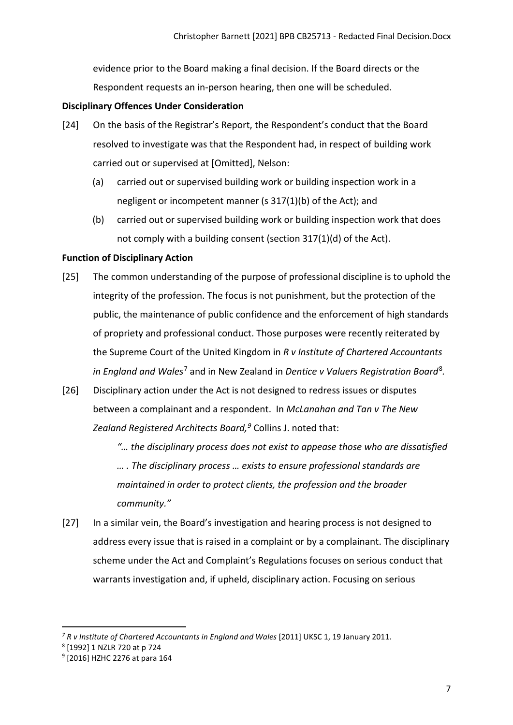evidence prior to the Board making a final decision. If the Board directs or the Respondent requests an in-person hearing, then one will be scheduled.

## <span id="page-6-0"></span>**Disciplinary Offences Under Consideration**

- [24] On the basis of the Registrar's Report, the Respondent's conduct that the Board resolved to investigate was that the Respondent had, in respect of building work carried out or supervised at [Omitted], Nelson:
	- (a) carried out or supervised building work or building inspection work in a negligent or incompetent manner (s 317(1)(b) of the Act); and
	- (b) carried out or supervised building work or building inspection work that does not comply with a building consent (section 317(1)(d) of the Act).

## <span id="page-6-1"></span>**Function of Disciplinary Action**

- [25] The common understanding of the purpose of professional discipline is to uphold the integrity of the profession. The focus is not punishment, but the protection of the public, the maintenance of public confidence and the enforcement of high standards of propriety and professional conduct. Those purposes were recently reiterated by the Supreme Court of the United Kingdom in *R v Institute of Chartered Accountants in England and Wales*[7](#page-6-2) and in New Zealand in *Dentice v Valuers Registration Board*[8](#page-6-3)*.*
- [26] Disciplinary action under the Act is not designed to redress issues or disputes between a complainant and a respondent. In *McLanahan and Tan v The New Zealand Registered Architects Board, [9](#page-6-4)* Collins J. noted that:
	- *"… the disciplinary process does not exist to appease those who are dissatisfied … . The disciplinary process … exists to ensure professional standards are maintained in order to protect clients, the profession and the broader community."*
- [27] In a similar vein, the Board's investigation and hearing process is not designed to address every issue that is raised in a complaint or by a complainant. The disciplinary scheme under the Act and Complaint's Regulations focuses on serious conduct that warrants investigation and, if upheld, disciplinary action. Focusing on serious

<span id="page-6-2"></span>*<sup>7</sup> R v Institute of Chartered Accountants in England and Wales* [2011] UKSC 1, 19 January 2011.

<span id="page-6-3"></span><sup>8</sup> [1992] 1 NZLR 720 at p 724

<span id="page-6-4"></span><sup>9</sup> [2016] HZHC 2276 at para 164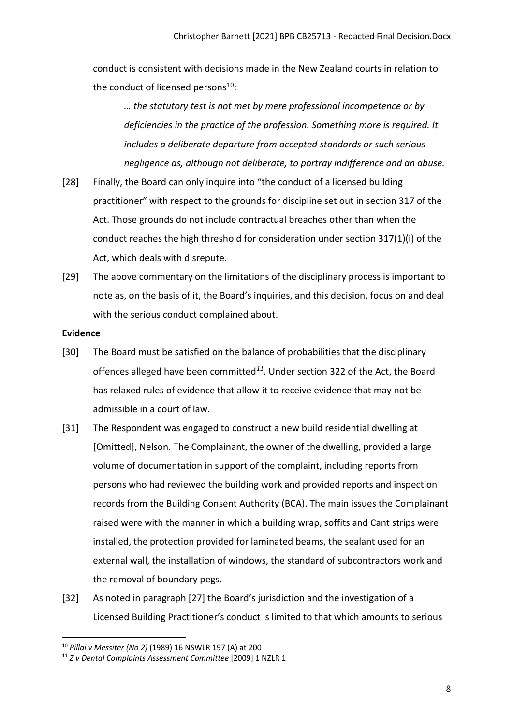conduct is consistent with decisions made in the New Zealand courts in relation to the conduct of licensed persons<sup>[10](#page-7-1)</sup>:

*… the statutory test is not met by mere professional incompetence or by deficiencies in the practice of the profession. Something more is required. It includes a deliberate departure from accepted standards or such serious negligence as, although not deliberate, to portray indifference and an abuse.*

- [28] Finally, the Board can only inquire into "the conduct of a licensed building practitioner" with respect to the grounds for discipline set out in section 317 of the Act. Those grounds do not include contractual breaches other than when the conduct reaches the high threshold for consideration under section 317(1)(i) of the Act, which deals with disrepute.
- [29] The above commentary on the limitations of the disciplinary process is important to note as, on the basis of it, the Board's inquiries, and this decision, focus on and deal with the serious conduct complained about.

#### <span id="page-7-0"></span>**Evidence**

- [30] The Board must be satisfied on the balance of probabilities that the disciplinary offences alleged have been committed*[11](#page-7-2)*. Under section 322 of the Act, the Board has relaxed rules of evidence that allow it to receive evidence that may not be admissible in a court of law.
- [31] The Respondent was engaged to construct a new build residential dwelling at [Omitted], Nelson. The Complainant, the owner of the dwelling, provided a large volume of documentation in support of the complaint, including reports from persons who had reviewed the building work and provided reports and inspection records from the Building Consent Authority (BCA). The main issues the Complainant raised were with the manner in which a building wrap, soffits and Cant strips were installed, the protection provided for laminated beams, the sealant used for an external wall, the installation of windows, the standard of subcontractors work and the removal of boundary pegs.
- [32] As noted in paragraph [27] the Board's jurisdiction and the investigation of a Licensed Building Practitioner's conduct is limited to that which amounts to serious

<span id="page-7-1"></span><sup>10</sup> *Pillai v Messiter (No 2)* (1989) 16 NSWLR 197 (A) at 200

<span id="page-7-2"></span><sup>11</sup> *Z v Dental Complaints Assessment Committee* [2009] 1 NZLR 1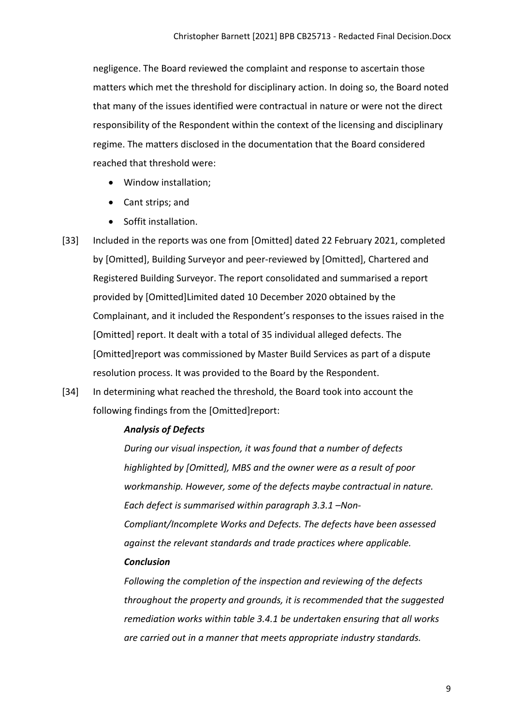negligence. The Board reviewed the complaint and response to ascertain those matters which met the threshold for disciplinary action. In doing so, the Board noted that many of the issues identified were contractual in nature or were not the direct responsibility of the Respondent within the context of the licensing and disciplinary regime. The matters disclosed in the documentation that the Board considered reached that threshold were:

- Window installation;
- Cant strips; and
- Soffit installation.
- [33] Included in the reports was one from [Omitted] dated 22 February 2021, completed by [Omitted], Building Surveyor and peer-reviewed by [Omitted], Chartered and Registered Building Surveyor. The report consolidated and summarised a report provided by [Omitted]Limited dated 10 December 2020 obtained by the Complainant, and it included the Respondent's responses to the issues raised in the [Omitted] report. It dealt with a total of 35 individual alleged defects. The [Omitted]report was commissioned by Master Build Services as part of a dispute resolution process. It was provided to the Board by the Respondent.
- [34] In determining what reached the threshold, the Board took into account the following findings from the [Omitted]report:

### *Analysis of Defects*

*During our visual inspection, it was found that a number of defects highlighted by [Omitted], MBS and the owner were as a result of poor workmanship. However, some of the defects maybe contractual in nature. Each defect is summarised within paragraph 3.3.1 –Non-Compliant/Incomplete Works and Defects. The defects have been assessed against the relevant standards and trade practices where applicable. Conclusion*

*Following the completion of the inspection and reviewing of the defects throughout the property and grounds, it is recommended that the suggested remediation works within table 3.4.1 be undertaken ensuring that all works are carried out in a manner that meets appropriate industry standards.*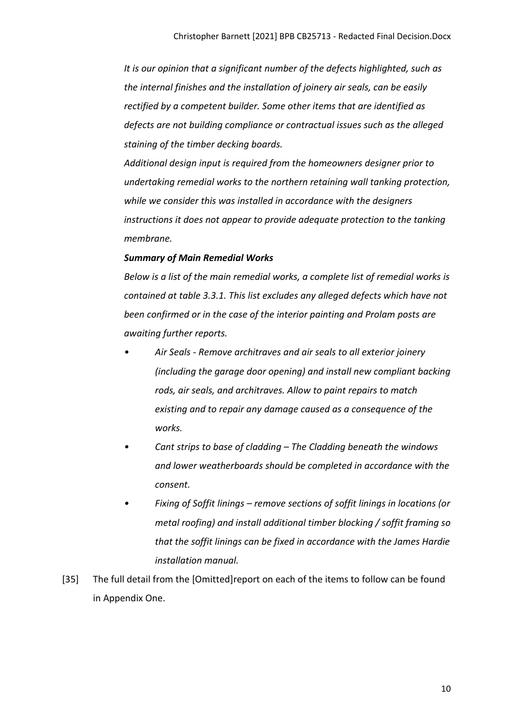*It is our opinion that a significant number of the defects highlighted, such as the internal finishes and the installation of joinery air seals, can be easily rectified by a competent builder. Some other items that are identified as defects are not building compliance or contractual issues such as the alleged staining of the timber decking boards.*

*Additional design input is required from the homeowners designer prior to undertaking remedial works to the northern retaining wall tanking protection, while we consider this was installed in accordance with the designers instructions it does not appear to provide adequate protection to the tanking membrane.*

### *Summary of Main Remedial Works*

*Below is a list of the main remedial works, a complete list of remedial works is contained at table 3.3.1. This list excludes any alleged defects which have not been confirmed or in the case of the interior painting and Prolam posts are awaiting further reports.*

- *Air Seals Remove architraves and air seals to all exterior joinery (including the garage door opening) and install new compliant backing rods, air seals, and architraves. Allow to paint repairs to match existing and to repair any damage caused as a consequence of the works.*
- *Cant strips to base of cladding The Cladding beneath the windows and lower weatherboards should be completed in accordance with the consent.*
- *Fixing of Soffit linings remove sections of soffit linings in locations (or metal roofing) and install additional timber blocking / soffit framing so that the soffit linings can be fixed in accordance with the James Hardie installation manual.*
- [35] The full detail from the [Omitted]report on each of the items to follow can be found in Appendix One.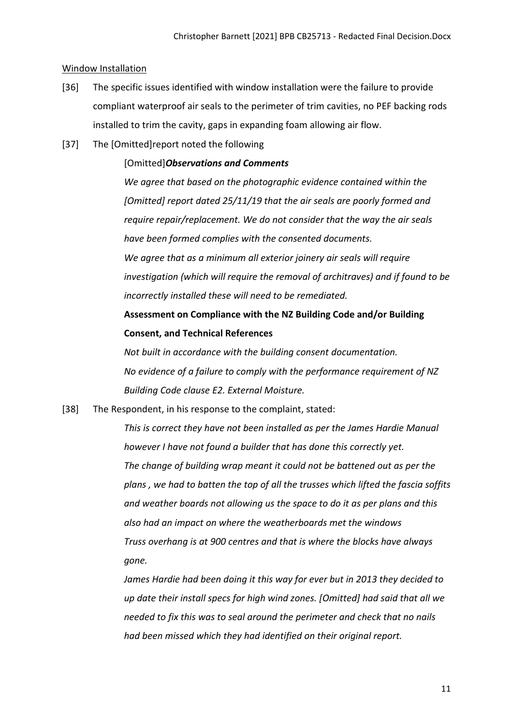#### <span id="page-10-0"></span>Window Installation

- [36] The specific issues identified with window installation were the failure to provide compliant waterproof air seals to the perimeter of trim cavities, no PEF backing rods installed to trim the cavity, gaps in expanding foam allowing air flow.
- [37] The [Omitted]report noted the following

#### [Omitted]*Observations and Comments*

*We agree that based on the photographic evidence contained within the [Omitted] report dated 25/11/19 that the air seals are poorly formed and require repair/replacement. We do not consider that the way the air seals have been formed complies with the consented documents. We agree that as a minimum all exterior joinery air seals will require investigation (which will require the removal of architraves) and if found to be incorrectly installed these will need to be remediated.*

# **Assessment on Compliance with the NZ Building Code and/or Building Consent, and Technical References**

*Not built in accordance with the building consent documentation. No evidence of a failure to comply with the performance requirement of NZ Building Code clause E2. External Moisture.* 

[38] The Respondent, in his response to the complaint, stated:

*This is correct they have not been installed as per the James Hardie Manual however I have not found a builder that has done this correctly yet. The change of building wrap meant it could not be battened out as per the plans , we had to batten the top of all the trusses which lifted the fascia soffits and weather boards not allowing us the space to do it as per plans and this also had an impact on where the weatherboards met the windows Truss overhang is at 900 centres and that is where the blocks have always gone.* 

*James Hardie had been doing it this way for ever but in 2013 they decided to up date their install specs for high wind zones. [Omitted] had said that all we needed to fix this was to seal around the perimeter and check that no nails had been missed which they had identified on their original report.*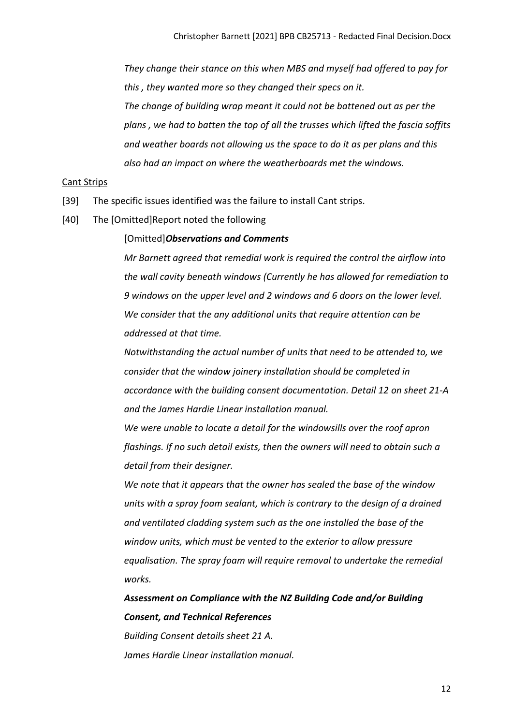*They change their stance on this when MBS and myself had offered to pay for this , they wanted more so they changed their specs on it.*

*The change of building wrap meant it could not be battened out as per the plans , we had to batten the top of all the trusses which lifted the fascia soffits and weather boards not allowing us the space to do it as per plans and this also had an impact on where the weatherboards met the windows.*

#### <span id="page-11-0"></span>Cant Strips

- [39] The specific issues identified was the failure to install Cant strips.
- [40] The [Omitted]Report noted the following

#### [Omitted]*Observations and Comments*

*Mr Barnett agreed that remedial work is required the control the airflow into the wall cavity beneath windows (Currently he has allowed for remediation to 9 windows on the upper level and 2 windows and 6 doors on the lower level. We consider that the any additional units that require attention can be addressed at that time.*

*Notwithstanding the actual number of units that need to be attended to, we consider that the window joinery installation should be completed in accordance with the building consent documentation. Detail 12 on sheet 21-A and the James Hardie Linear installation manual.*

*We were unable to locate a detail for the windowsills over the roof apron flashings. If no such detail exists, then the owners will need to obtain such a detail from their designer.*

*We note that it appears that the owner has sealed the base of the window units with a spray foam sealant, which is contrary to the design of a drained and ventilated cladding system such as the one installed the base of the window units, which must be vented to the exterior to allow pressure equalisation. The spray foam will require removal to undertake the remedial works.*

*Assessment on Compliance with the NZ Building Code and/or Building Consent, and Technical References*

*Building Consent details sheet 21 A. James Hardie Linear installation manual.*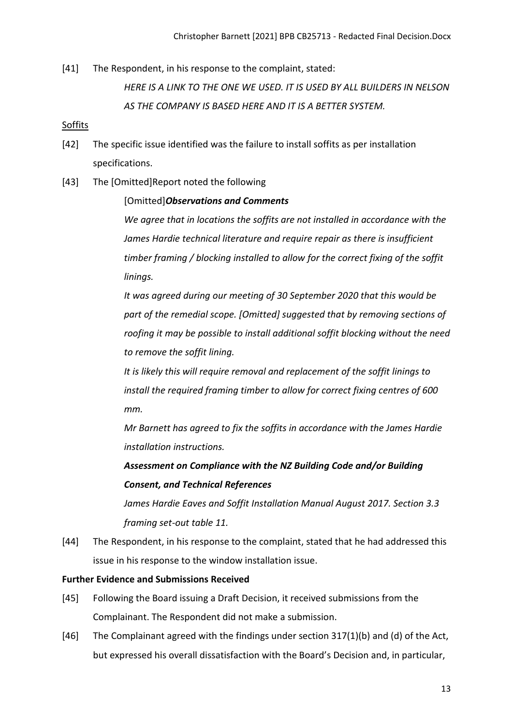[41] The Respondent, in his response to the complaint, stated:

*HERE IS A LINK TO THE ONE WE USED. IT IS USED BY ALL BUILDERS IN NELSON AS THE COMPANY IS BASED HERE AND IT IS A BETTER SYSTEM.*

## <span id="page-12-0"></span>Soffits

- [42] The specific issue identified was the failure to install soffits as per installation specifications.
- [43] The [Omitted]Report noted the following

### [Omitted]*Observations and Comments*

*We agree that in locations the soffits are not installed in accordance with the James Hardie technical literature and require repair as there is insufficient timber framing / blocking installed to allow for the correct fixing of the soffit linings.*

*It was agreed during our meeting of 30 September 2020 that this would be part of the remedial scope. [Omitted] suggested that by removing sections of roofing it may be possible to install additional soffit blocking without the need to remove the soffit lining.*

*It is likely this will require removal and replacement of the soffit linings to install the required framing timber to allow for correct fixing centres of 600 mm.*

*Mr Barnett has agreed to fix the soffits in accordance with the James Hardie installation instructions.*

*Assessment on Compliance with the NZ Building Code and/or Building Consent, and Technical References*

*James Hardie Eaves and Soffit Installation Manual August 2017. Section 3.3 framing set-out table 11.*

[44] The Respondent, in his response to the complaint, stated that he had addressed this issue in his response to the window installation issue.

### <span id="page-12-1"></span>**Further Evidence and Submissions Received**

- [45] Following the Board issuing a Draft Decision, it received submissions from the Complainant. The Respondent did not make a submission.
- [46] The Complainant agreed with the findings under section 317(1)(b) and (d) of the Act, but expressed his overall dissatisfaction with the Board's Decision and, in particular,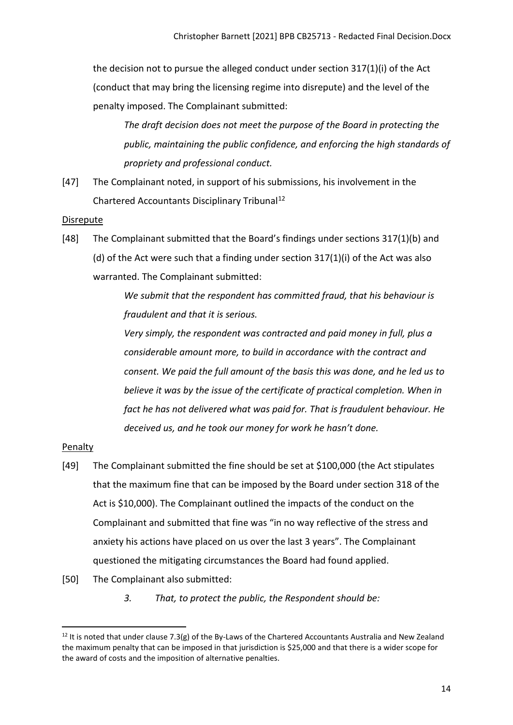the decision not to pursue the alleged conduct under section 317(1)(i) of the Act (conduct that may bring the licensing regime into disrepute) and the level of the penalty imposed. The Complainant submitted:

*The draft decision does not meet the purpose of the Board in protecting the public, maintaining the public confidence, and enforcing the high standards of propriety and professional conduct.*

[47] The Complainant noted, in support of his submissions, his involvement in the Chartered Accountants Disciplinary Tribunal<sup>[12](#page-13-2)</sup>

#### <span id="page-13-0"></span>**Disrepute**

[48] The Complainant submitted that the Board's findings under sections 317(1)(b) and (d) of the Act were such that a finding under section 317(1)(i) of the Act was also warranted. The Complainant submitted:

> *We submit that the respondent has committed fraud, that his behaviour is fraudulent and that it is serious.*

*Very simply, the respondent was contracted and paid money in full, plus a considerable amount more, to build in accordance with the contract and consent. We paid the full amount of the basis this was done, and he led us to*  believe it was by the issue of the certificate of practical completion. When in *fact he has not delivered what was paid for. That is fraudulent behaviour. He deceived us, and he took our money for work he hasn't done.*

### <span id="page-13-1"></span>Penalty

- [49] The Complainant submitted the fine should be set at \$100,000 (the Act stipulates that the maximum fine that can be imposed by the Board under section 318 of the Act is \$10,000). The Complainant outlined the impacts of the conduct on the Complainant and submitted that fine was "in no way reflective of the stress and anxiety his actions have placed on us over the last 3 years". The Complainant questioned the mitigating circumstances the Board had found applied.
- [50] The Complainant also submitted:
	- *3. That, to protect the public, the Respondent should be:*

<span id="page-13-2"></span> $12$  It is noted that under clause 7.3(g) of the By-Laws of the Chartered Accountants Australia and New Zealand the maximum penalty that can be imposed in that jurisdiction is \$25,000 and that there is a wider scope for the award of costs and the imposition of alternative penalties.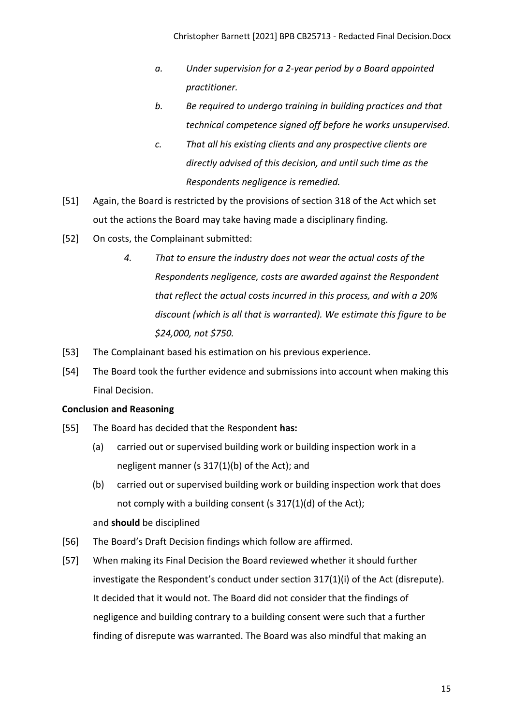- *a. Under supervision for a 2-year period by a Board appointed practitioner.*
- *b. Be required to undergo training in building practices and that technical competence signed off before he works unsupervised.*
- *c. That all his existing clients and any prospective clients are directly advised of this decision, and until such time as the Respondents negligence is remedied.*
- [51] Again, the Board is restricted by the provisions of section 318 of the Act which set out the actions the Board may take having made a disciplinary finding.
- [52] On costs, the Complainant submitted:
	- *4. That to ensure the industry does not wear the actual costs of the Respondents negligence, costs are awarded against the Respondent that reflect the actual costs incurred in this process, and with a 20% discount (which is all that is warranted). We estimate this figure to be \$24,000, not \$750.*
- [53] The Complainant based his estimation on his previous experience.
- [54] The Board took the further evidence and submissions into account when making this Final Decision.

# <span id="page-14-0"></span>**Conclusion and Reasoning**

- [55] The Board has decided that the Respondent **has:**
	- (a) carried out or supervised building work or building inspection work in a negligent manner (s 317(1)(b) of the Act); and
	- (b) carried out or supervised building work or building inspection work that does not comply with a building consent (s 317(1)(d) of the Act); and **should** be disciplined
- [56] The Board's Draft Decision findings which follow are affirmed.
- [57] When making its Final Decision the Board reviewed whether it should further investigate the Respondent's conduct under section 317(1)(i) of the Act (disrepute). It decided that it would not. The Board did not consider that the findings of negligence and building contrary to a building consent were such that a further finding of disrepute was warranted. The Board was also mindful that making an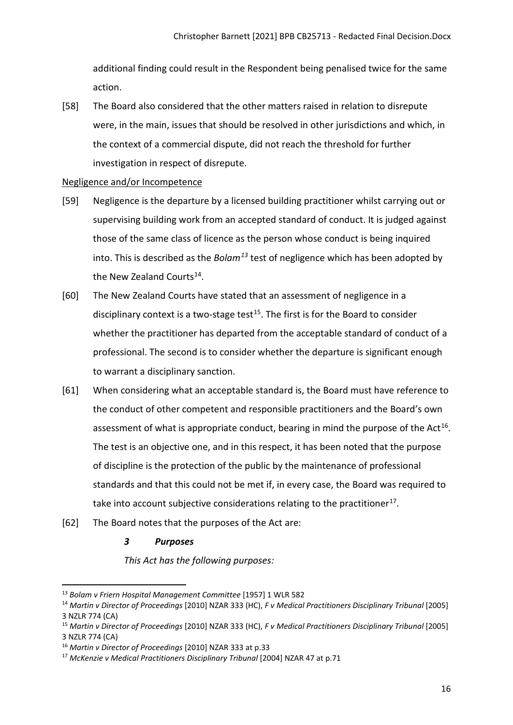additional finding could result in the Respondent being penalised twice for the same action.

[58] The Board also considered that the other matters raised in relation to disrepute were, in the main, issues that should be resolved in other jurisdictions and which, in the context of a commercial dispute, did not reach the threshold for further investigation in respect of disrepute.

## <span id="page-15-0"></span>Negligence and/or Incompetence

- [59] Negligence is the departure by a licensed building practitioner whilst carrying out or supervising building work from an accepted standard of conduct. It is judged against those of the same class of licence as the person whose conduct is being inquired into. This is described as the *Bolam[13](#page-15-1)* test of negligence which has been adopted by the New Zealand Courts<sup>14</sup>.
- [60] The New Zealand Courts have stated that an assessment of negligence in a disciplinary context is a two-stage test<sup>15</sup>. The first is for the Board to consider whether the practitioner has departed from the acceptable standard of conduct of a professional. The second is to consider whether the departure is significant enough to warrant a disciplinary sanction.
- [61] When considering what an acceptable standard is, the Board must have reference to the conduct of other competent and responsible practitioners and the Board's own assessment of what is appropriate conduct, bearing in mind the purpose of the Act<sup>[16](#page-15-4)</sup>. The test is an objective one, and in this respect, it has been noted that the purpose of discipline is the protection of the public by the maintenance of professional standards and that this could not be met if, in every case, the Board was required to take into account subjective considerations relating to the practitioner<sup>[17](#page-15-5)</sup>.
- [62] The Board notes that the purposes of the Act are:
	- *3 Purposes*

*This Act has the following purposes:*

<span id="page-15-1"></span><sup>13</sup> *Bolam v Friern Hospital Management Committee* [1957] 1 WLR 582

<span id="page-15-2"></span><sup>14</sup> *Martin v Director of Proceedings* [2010] NZAR 333 (HC), *F v Medical Practitioners Disciplinary Tribunal* [2005] 3 NZLR 774 (CA)

<span id="page-15-3"></span><sup>15</sup> *Martin v Director of Proceedings* [2010] NZAR 333 (HC), *F v Medical Practitioners Disciplinary Tribunal* [2005] 3 NZLR 774 (CA)

<span id="page-15-4"></span><sup>16</sup> *Martin v Director of Proceedings* [2010] NZAR 333 at p.33

<span id="page-15-5"></span><sup>17</sup> *McKenzie v Medical Practitioners Disciplinary Tribunal* [2004] NZAR 47 at p.71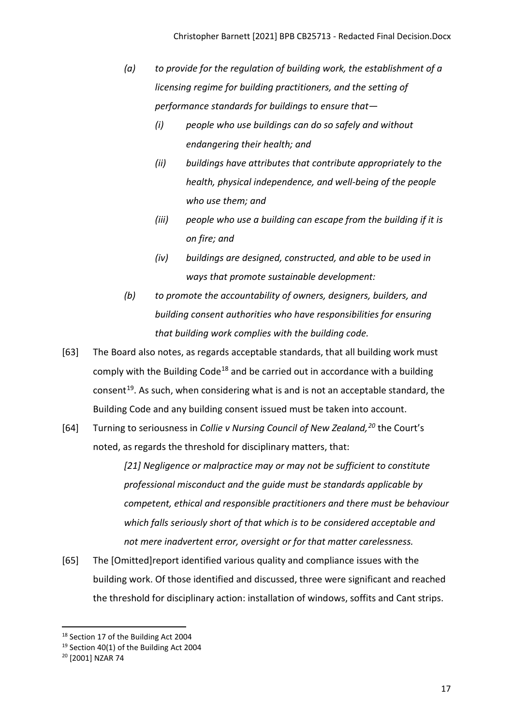- *(a) to provide for the regulation of building work, the establishment of a licensing regime for building practitioners, and the setting of performance standards for buildings to ensure that—* 
	- *(i) people who use buildings can do so safely and without endangering their health; and*
	- *(ii) buildings have attributes that contribute appropriately to the health, physical independence, and well-being of the people who use them; and*
	- *(iii) people who use a building can escape from the building if it is on fire; and*
	- *(iv) buildings are designed, constructed, and able to be used in ways that promote sustainable development:*
- *(b) to promote the accountability of owners, designers, builders, and building consent authorities who have responsibilities for ensuring that building work complies with the building code.*
- [63] The Board also notes, as regards acceptable standards, that all building work must comply with the Building Code<sup>[18](#page-16-0)</sup> and be carried out in accordance with a building consent<sup>[19](#page-16-1)</sup>. As such, when considering what is and is not an acceptable standard, the Building Code and any building consent issued must be taken into account.
- [64] Turning to seriousness in *Collie v Nursing Council of New Zealand,[20](#page-16-2)* the Court's noted, as regards the threshold for disciplinary matters, that:

*[21] Negligence or malpractice may or may not be sufficient to constitute professional misconduct and the guide must be standards applicable by competent, ethical and responsible practitioners and there must be behaviour which falls seriously short of that which is to be considered acceptable and not mere inadvertent error, oversight or for that matter carelessness.*

[65] The [Omitted]report identified various quality and compliance issues with the building work. Of those identified and discussed, three were significant and reached the threshold for disciplinary action: installation of windows, soffits and Cant strips.

<span id="page-16-0"></span><sup>&</sup>lt;sup>18</sup> Section 17 of the Building Act 2004

<span id="page-16-1"></span><sup>&</sup>lt;sup>19</sup> Section 40(1) of the Building Act 2004

<span id="page-16-2"></span><sup>20</sup> [2001] NZAR 74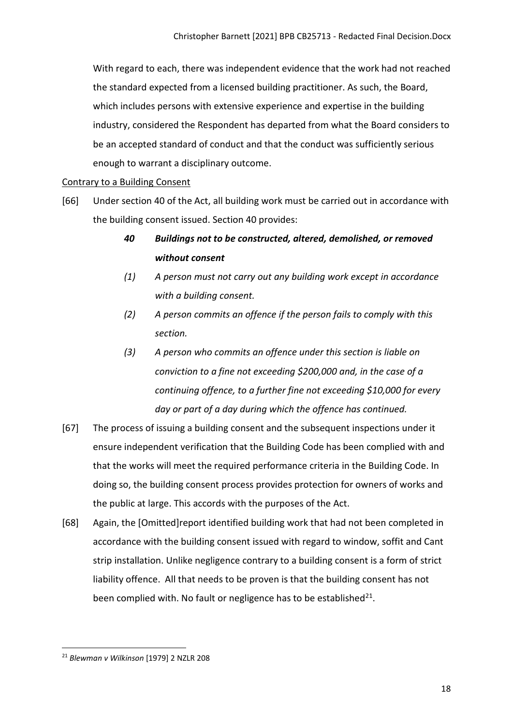With regard to each, there was independent evidence that the work had not reached the standard expected from a licensed building practitioner. As such, the Board, which includes persons with extensive experience and expertise in the building industry, considered the Respondent has departed from what the Board considers to be an accepted standard of conduct and that the conduct was sufficiently serious enough to warrant a disciplinary outcome.

#### <span id="page-17-0"></span>Contrary to a Building Consent

- [66] Under section 40 of the Act, all building work must be carried out in accordance with the building consent issued. Section 40 provides:
	- *40 Buildings not to be constructed, altered, demolished, or removed without consent*
	- *(1) A person must not carry out any building work except in accordance with a building consent.*
	- *(2) A person commits an offence if the person fails to comply with this section.*
	- *(3) A person who commits an offence under this section is liable on conviction to a fine not exceeding \$200,000 and, in the case of a continuing offence, to a further fine not exceeding \$10,000 for every day or part of a day during which the offence has continued.*
- [67] The process of issuing a building consent and the subsequent inspections under it ensure independent verification that the Building Code has been complied with and that the works will meet the required performance criteria in the Building Code. In doing so, the building consent process provides protection for owners of works and the public at large. This accords with the purposes of the Act.
- [68] Again, the [Omitted]report identified building work that had not been completed in accordance with the building consent issued with regard to window, soffit and Cant strip installation. Unlike negligence contrary to a building consent is a form of strict liability offence. All that needs to be proven is that the building consent has not been complied with. No fault or negligence has to be established $^{21}$  $^{21}$  $^{21}$ .

<span id="page-17-1"></span><sup>21</sup> *Blewman v Wilkinson* [\[1979\] 2 NZLR 208](http://www.lexisnexis.com/nz/legal/search/enhRunRemoteLink.do?A=0.2086159965275617&service=citation&langcountry=AU&backKey=20_T27461068952&linkInfo=F%23NZ%23NZLR%23vol%252%25sel1%251979%25page%25208%25year%251979%25sel2%252%25&ersKey=23_T27461068929)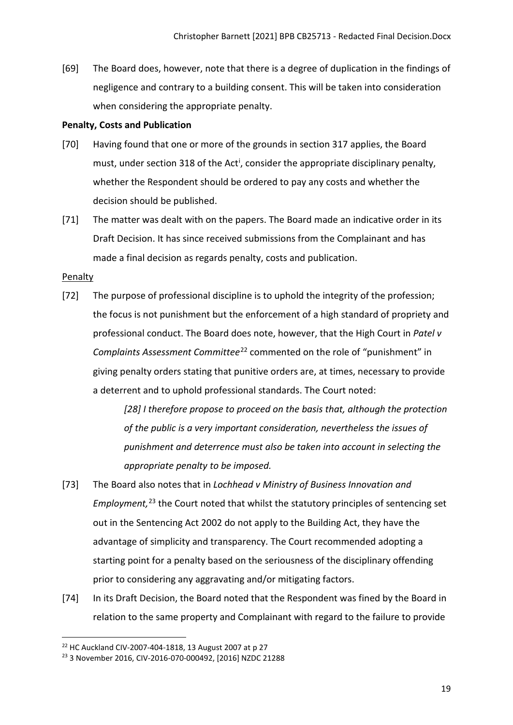[69] The Board does, however, note that there is a degree of duplication in the findings of negligence and contrary to a building consent. This will be taken into consideration when considering the appropriate penalty.

### <span id="page-18-0"></span>**Penalty, Costs and Publication**

- [70] Having found that one or more of the grounds in section 317 applies, the Board must, under sect[i](#page-28-0)on 318 of the Act<sup>i</sup>, consider the appropriate disciplinary penalty, whether the Respondent should be ordered to pay any costs and whether the decision should be published.
- [71] The matter was dealt with on the papers. The Board made an indicative order in its Draft Decision. It has since received submissions from the Complainant and has made a final decision as regards penalty, costs and publication.

## <span id="page-18-1"></span>**Penalty**

[72] The purpose of professional discipline is to uphold the integrity of the profession; the focus is not punishment but the enforcement of a high standard of propriety and professional conduct. The Board does note, however, that the High Court in *Patel v Complaints Assessment Committee*[22](#page-18-2) commented on the role of "punishment" in giving penalty orders stating that punitive orders are, at times, necessary to provide a deterrent and to uphold professional standards. The Court noted:

> *[28] I therefore propose to proceed on the basis that, although the protection of the public is a very important consideration, nevertheless the issues of punishment and deterrence must also be taken into account in selecting the appropriate penalty to be imposed.*

- [73] The Board also notes that in *Lochhead v Ministry of Business Innovation and Employment,* [23](#page-18-3) the Court noted that whilst the statutory principles of sentencing set out in the Sentencing Act 2002 do not apply to the Building Act, they have the advantage of simplicity and transparency. The Court recommended adopting a starting point for a penalty based on the seriousness of the disciplinary offending prior to considering any aggravating and/or mitigating factors.
- [74] In its Draft Decision, the Board noted that the Respondent was fined by the Board in relation to the same property and Complainant with regard to the failure to provide

<span id="page-18-2"></span><sup>22</sup> HC Auckland CIV-2007-404-1818, 13 August 2007 at p 27

<span id="page-18-3"></span><sup>23</sup> 3 November 2016, CIV-2016-070-000492, [2016] NZDC 21288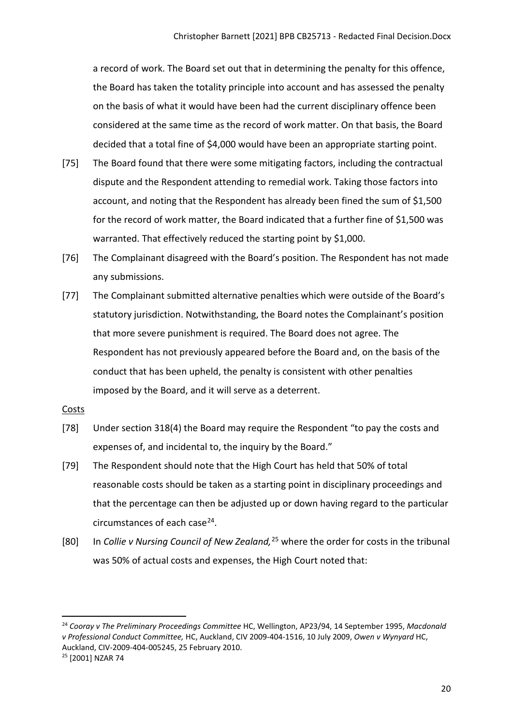a record of work. The Board set out that in determining the penalty for this offence, the Board has taken the totality principle into account and has assessed the penalty on the basis of what it would have been had the current disciplinary offence been considered at the same time as the record of work matter. On that basis, the Board decided that a total fine of \$4,000 would have been an appropriate starting point.

- [75] The Board found that there were some mitigating factors, including the contractual dispute and the Respondent attending to remedial work. Taking those factors into account, and noting that the Respondent has already been fined the sum of \$1,500 for the record of work matter, the Board indicated that a further fine of \$1,500 was warranted. That effectively reduced the starting point by \$1,000.
- [76] The Complainant disagreed with the Board's position. The Respondent has not made any submissions.
- [77] The Complainant submitted alternative penalties which were outside of the Board's statutory jurisdiction. Notwithstanding, the Board notes the Complainant's position that more severe punishment is required. The Board does not agree. The Respondent has not previously appeared before the Board and, on the basis of the conduct that has been upheld, the penalty is consistent with other penalties imposed by the Board, and it will serve as a deterrent.

#### <span id="page-19-0"></span>Costs

- [78] Under section 318(4) the Board may require the Respondent "to pay the costs and expenses of, and incidental to, the inquiry by the Board."
- [79] The Respondent should note that the High Court has held that 50% of total reasonable costs should be taken as a starting point in disciplinary proceedings and that the percentage can then be adjusted up or down having regard to the particular circumstances of each case<sup>24</sup>.
- [80] In *Collie v Nursing Council of New Zealand,*[25](#page-19-2) where the order for costs in the tribunal was 50% of actual costs and expenses, the High Court noted that:

<span id="page-19-1"></span><sup>24</sup> *Cooray v The Preliminary Proceedings Committee* HC, Wellington, AP23/94, 14 September 1995, *Macdonald v Professional Conduct Committee,* HC, Auckland, CIV 2009-404-1516, 10 July 2009, *Owen v Wynyard* HC, Auckland, CIV-2009-404-005245, 25 February 2010.<br><sup>25</sup> [2001] NZAR 74

<span id="page-19-2"></span>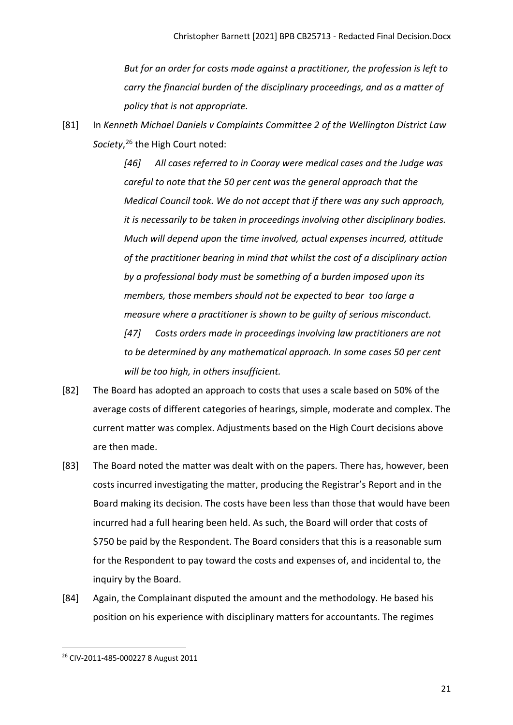*But for an order for costs made against a practitioner, the profession is left to carry the financial burden of the disciplinary proceedings, and as a matter of policy that is not appropriate.*

[81] In *Kenneth Michael Daniels v Complaints Committee 2 of the Wellington District Law Society*, [26](#page-20-0) the High Court noted:

> *[46] All cases referred to in Cooray were medical cases and the Judge was careful to note that the 50 per cent was the general approach that the Medical Council took. We do not accept that if there was any such approach, it is necessarily to be taken in proceedings involving other disciplinary bodies. Much will depend upon the time involved, actual expenses incurred, attitude of the practitioner bearing in mind that whilst the cost of a disciplinary action by a professional body must be something of a burden imposed upon its members, those members should not be expected to bear too large a measure where a practitioner is shown to be guilty of serious misconduct. [47] Costs orders made in proceedings involving law practitioners are not to be determined by any mathematical approach. In some cases 50 per cent*

[82] The Board has adopted an approach to costs that uses a scale based on 50% of the average costs of different categories of hearings, simple, moderate and complex. The current matter was complex. Adjustments based on the High Court decisions above are then made.

*will be too high, in others insufficient.*

- [83] The Board noted the matter was dealt with on the papers. There has, however, been costs incurred investigating the matter, producing the Registrar's Report and in the Board making its decision. The costs have been less than those that would have been incurred had a full hearing been held. As such, the Board will order that costs of \$750 be paid by the Respondent. The Board considers that this is a reasonable sum for the Respondent to pay toward the costs and expenses of, and incidental to, the inquiry by the Board.
- [84] Again, the Complainant disputed the amount and the methodology. He based his position on his experience with disciplinary matters for accountants. The regimes

<span id="page-20-0"></span><sup>26</sup> CIV-2011-485-000227 8 August 2011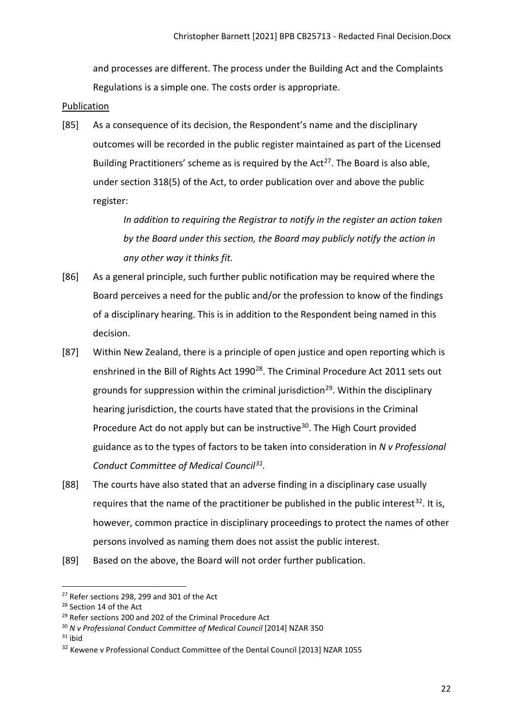and processes are different. The process under the Building Act and the Complaints Regulations is a simple one. The costs order is appropriate.

### <span id="page-21-0"></span>**Publication**

[85] As a consequence of its decision, the Respondent's name and the disciplinary outcomes will be recorded in the public register maintained as part of the Licensed Building Practitioners' scheme as is required by the Act<sup>[27](#page-21-1)</sup>. The Board is also able, under section 318(5) of the Act, to order publication over and above the public register:

> *In addition to requiring the Registrar to notify in the register an action taken by the Board under this section, the Board may publicly notify the action in any other way it thinks fit.*

- [86] As a general principle, such further public notification may be required where the Board perceives a need for the public and/or the profession to know of the findings of a disciplinary hearing. This is in addition to the Respondent being named in this decision.
- [87] Within New Zealand, there is a principle of open justice and open reporting which is enshrined in the Bill of Rights Act 1990<sup>28</sup>. The Criminal Procedure Act 2011 sets out grounds for suppression within the criminal jurisdiction<sup>29</sup>. Within the disciplinary hearing jurisdiction, the courts have stated that the provisions in the Criminal Procedure Act do not apply but can be instructive<sup>[30](#page-21-4)</sup>. The High Court provided guidance as to the types of factors to be taken into consideration in *N v Professional Conduct Committee of Medical Council[31](#page-21-5).*
- [88] The courts have also stated that an adverse finding in a disciplinary case usually requires that the name of the practitioner be published in the public interest<sup>[32](#page-21-6)</sup>. It is, however, common practice in disciplinary proceedings to protect the names of other persons involved as naming them does not assist the public interest.
- [89] Based on the above, the Board will not order further publication.

<span id="page-21-1"></span> $27$  Refer sections 298, 299 and 301 of the Act

<span id="page-21-2"></span><sup>&</sup>lt;sup>28</sup> Section 14 of the Act

<span id="page-21-3"></span><sup>&</sup>lt;sup>29</sup> Refer sections 200 and 202 of the Criminal Procedure Act

<span id="page-21-4"></span><sup>30</sup> *N v Professional Conduct Committee of Medical Council* [2014] NZAR 350

<span id="page-21-5"></span> $31$  ibid

<span id="page-21-6"></span><sup>&</sup>lt;sup>32</sup> Kewene v Professional Conduct Committee of the Dental Council [2013] NZAR 1055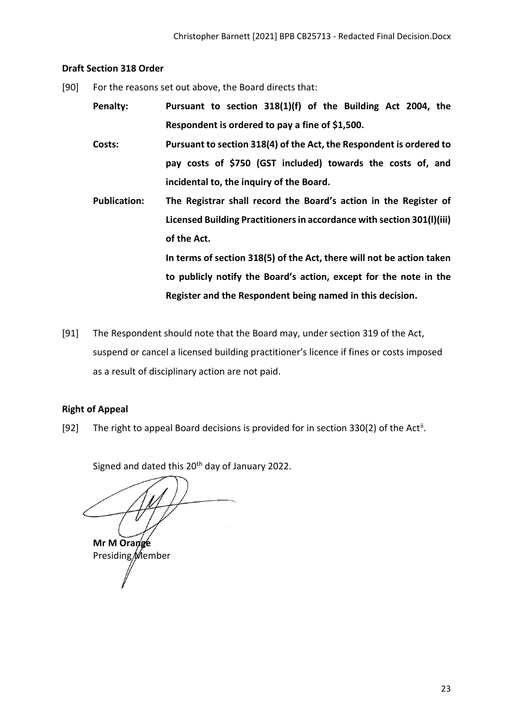## <span id="page-22-0"></span>**Draft Section 318 Order**

[90] For the reasons set out above, the Board directs that:

**Penalty: Pursuant to section 318(1)(f) of the Building Act 2004, the Respondent is ordered to pay a fine of \$1,500.** 

**Costs: Pursuant to section 318(4) of the Act, the Respondent is ordered to pay costs of \$750 (GST included) towards the costs of, and incidental to, the inquiry of the Board.**

**Publication: The Registrar shall record the Board's action in the Register of Licensed Building Practitioners in accordance with section 301(l)(iii) of the Act. In terms of section 318(5) of the Act, there will not be action taken** 

> **to publicly notify the Board's action, except for the note in the Register and the Respondent being named in this decision.**

[91] The Respondent should note that the Board may, under section 319 of the Act, suspend or cancel a licensed building practitioner's licence if fines or costs imposed as a result of disciplinary action are not paid.

# <span id="page-22-1"></span>**Right of Appeal**

[92] The right to appeal Board decisions is provided for in section 330(2) of the Act<sup>[ii](#page-28-1)</sup>.

Signed and dated this 20<sup>th</sup> day of January 2022.

**Mr M Orange** Presiding/Member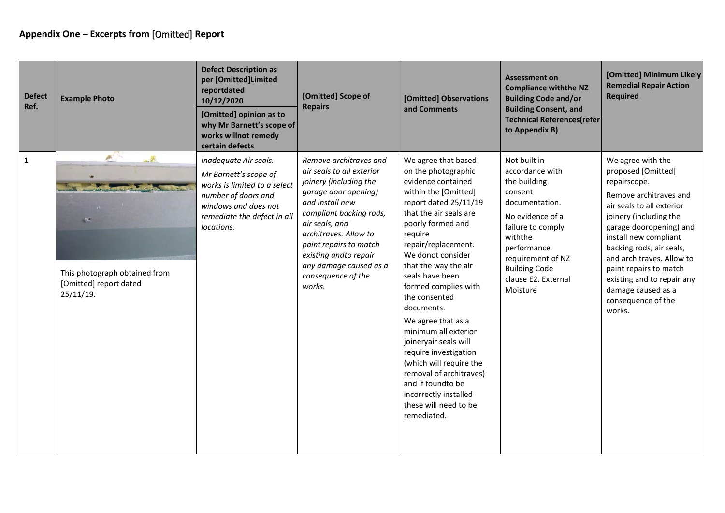<span id="page-23-0"></span>

| <b>Defect</b><br>Ref. | <b>Example Photo</b>                                                                    | <b>Defect Description as</b><br>per [Omitted]Limited<br>reportdated<br>10/12/2020<br>[Omitted] opinion as to<br>why Mr Barnett's scope of<br>works willnot remedy<br>certain defects | [Omitted] Scope of<br><b>Repairs</b>                                                                                                                                                                                                                                                                        | [Omitted] Observations<br>and Comments                                                                                                                                                                                                                                                                                                                                                                                                                                                                                                                                | <b>Assessment on</b><br><b>Compliance withthe NZ</b><br><b>Building Code and/or</b><br><b>Building Consent, and</b><br><b>Technical References(refer</b><br>to Appendix B)                                                      | [Omitted] Minimum Likely<br><b>Remedial Repair Action</b><br><b>Required</b>                                                                                                                                                                                                                                                                                        |
|-----------------------|-----------------------------------------------------------------------------------------|--------------------------------------------------------------------------------------------------------------------------------------------------------------------------------------|-------------------------------------------------------------------------------------------------------------------------------------------------------------------------------------------------------------------------------------------------------------------------------------------------------------|-----------------------------------------------------------------------------------------------------------------------------------------------------------------------------------------------------------------------------------------------------------------------------------------------------------------------------------------------------------------------------------------------------------------------------------------------------------------------------------------------------------------------------------------------------------------------|---------------------------------------------------------------------------------------------------------------------------------------------------------------------------------------------------------------------------------|---------------------------------------------------------------------------------------------------------------------------------------------------------------------------------------------------------------------------------------------------------------------------------------------------------------------------------------------------------------------|
| $\mathbf{1}$          | 高<br>人民<br>135.<br>This photograph obtained from<br>[Omitted] report dated<br>25/11/19. | Inadequate Air seals.<br>Mr Barnett's scope of<br>works is limited to a select<br>number of doors and<br>windows and does not<br>remediate the defect in all<br>locations.           | Remove architraves and<br>air seals to all exterior<br>joinery (including the<br>garage door opening)<br>and install new<br>compliant backing rods,<br>air seals, and<br>architraves. Allow to<br>paint repairs to match<br>existing andto repair<br>any damage caused as a<br>consequence of the<br>works. | We agree that based<br>on the photographic<br>evidence contained<br>within the [Omitted]<br>report dated 25/11/19<br>that the air seals are<br>poorly formed and<br>require<br>repair/replacement.<br>We donot consider<br>that the way the air<br>seals have been<br>formed complies with<br>the consented<br>documents.<br>We agree that as a<br>minimum all exterior<br>joineryair seals will<br>require investigation<br>(which will require the<br>removal of architraves)<br>and if foundto be<br>incorrectly installed<br>these will need to be<br>remediated. | Not built in<br>accordance with<br>the building<br>consent<br>documentation.<br>No evidence of a<br>failure to comply<br>withthe<br>performance<br>requirement of NZ<br><b>Building Code</b><br>clause E2. External<br>Moisture | We agree with the<br>proposed [Omitted]<br>repairscope.<br>Remove architraves and<br>air seals to all exterior<br>joinery (including the<br>garage dooropening) and<br>install new compliant<br>backing rods, air seals,<br>and architraves. Allow to<br>paint repairs to match<br>existing and to repair any<br>damage caused as a<br>consequence of the<br>works. |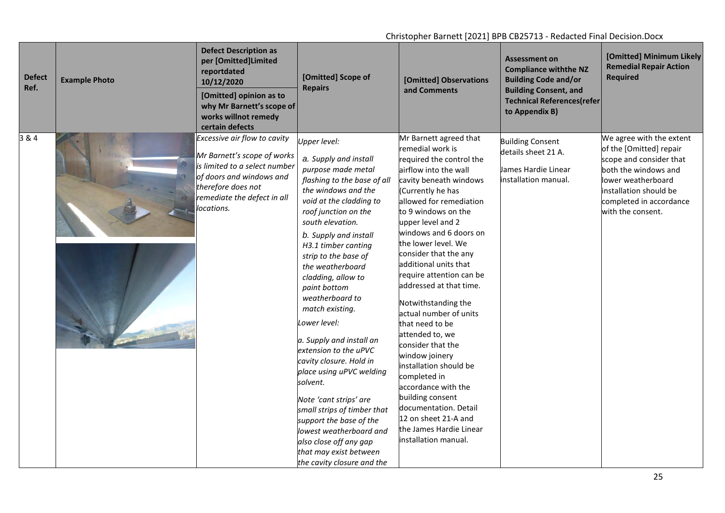| <b>Defect</b><br>Ref. | <b>Example Photo</b> | <b>Defect Description as</b><br>per [Omitted]Limited<br>reportdated<br>10/12/2020<br>[Omitted] opinion as to<br>why Mr Barnett's scope of<br>works willnot remedy<br>certain defects        | [Omitted] Scope of<br><b>Repairs</b>                                                                                                                                                                                                                                                                                                                                                                                                                                                                                                                                                                                                                                                                      | [Omitted] Observations<br>and Comments                                                                                                                                                                                                                                                                                                                                                                                                                                                                                                                                                                                                                                                                 | <b>Assessment on</b><br><b>Compliance withthe NZ</b><br><b>Building Code and/or</b><br><b>Building Consent, and</b><br><b>Technical References(refer</b><br>to Appendix B) | [Omitted] Minimum Likely<br><b>Remedial Repair Action</b><br><b>Required</b>                                                                                                                           |
|-----------------------|----------------------|---------------------------------------------------------------------------------------------------------------------------------------------------------------------------------------------|-----------------------------------------------------------------------------------------------------------------------------------------------------------------------------------------------------------------------------------------------------------------------------------------------------------------------------------------------------------------------------------------------------------------------------------------------------------------------------------------------------------------------------------------------------------------------------------------------------------------------------------------------------------------------------------------------------------|--------------------------------------------------------------------------------------------------------------------------------------------------------------------------------------------------------------------------------------------------------------------------------------------------------------------------------------------------------------------------------------------------------------------------------------------------------------------------------------------------------------------------------------------------------------------------------------------------------------------------------------------------------------------------------------------------------|----------------------------------------------------------------------------------------------------------------------------------------------------------------------------|--------------------------------------------------------------------------------------------------------------------------------------------------------------------------------------------------------|
| 3 & 4                 |                      | Excessive air flow to cavity<br>Mr Barnett's scope of works<br>is limited to a select number<br>of doors and windows and<br>therefore does not<br>remediate the defect in all<br>locations. | Upper level:<br>a. Supply and install<br>purpose made metal<br>flashing to the base of all<br>the windows and the<br>void at the cladding to<br>roof junction on the<br>south elevation.<br>b. Supply and install<br>H3.1 timber canting<br>strip to the base of<br>the weatherboard<br>cladding, allow to<br>paint bottom<br>weatherboard to<br>match existing.<br>Lower level:<br>a. Supply and install an<br>extension to the uPVC<br>cavity closure. Hold in<br>place using uPVC welding<br>solvent.<br>Note 'cant strips' are<br>small strips of timber that<br>support the base of the<br>lowest weatherboard and<br>also close off any gap<br>that may exist between<br>the cavity closure and the | Mr Barnett agreed that<br>remedial work is<br>required the control the<br>airflow into the wall<br>cavity beneath windows<br>(Currently he has<br>allowed for remediation<br>to 9 windows on the<br>upper level and 2<br>windows and 6 doors on<br>the lower level. We<br>consider that the any<br>additional units that<br>require attention can be<br>addressed at that time.<br>Notwithstanding the<br>actual number of units<br>that need to be<br>attended to, we<br>consider that the<br>window joinery<br>installation should be<br>completed in<br>accordance with the<br>building consent<br>documentation. Detail<br>12 on sheet 21-A and<br>the James Hardie Linear<br>installation manual. | <b>Building Consent</b><br>details sheet 21 A.<br>James Hardie Linear<br>installation manual.                                                                              | We agree with the extent<br>of the [Omitted] repair<br>scope and consider that<br>both the windows and<br>lower weatherboard<br>installation should be<br>completed in accordance<br>with the consent. |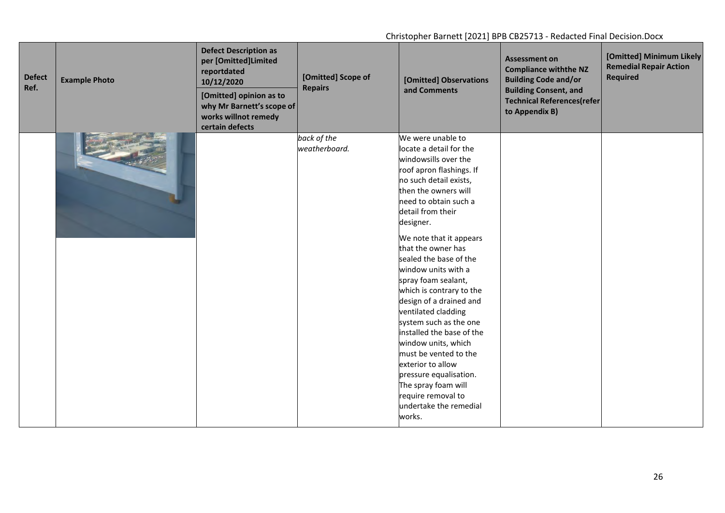| <b>Defect</b><br>Ref. | <b>Example Photo</b> | <b>Defect Description as</b><br>per [Omitted]Limited<br>reportdated<br>10/12/2020<br>[Omitted] opinion as to<br>why Mr Barnett's scope of<br>works willnot remedy<br>certain defects | [Omitted] Scope of<br><b>Repairs</b> | [Omitted] Observations<br>and Comments                                                                                                                                                                                                                                                                                                                                                                                                                                                                                                                                                                                                                      | <b>Assessment on</b><br><b>Compliance withthe NZ</b><br><b>Building Code and/or</b><br><b>Building Consent, and</b><br><b>Technical References(refer</b><br>to Appendix B) | [Omitted] Minimum Likely<br><b>Remedial Repair Action</b><br><b>Required</b> |
|-----------------------|----------------------|--------------------------------------------------------------------------------------------------------------------------------------------------------------------------------------|--------------------------------------|-------------------------------------------------------------------------------------------------------------------------------------------------------------------------------------------------------------------------------------------------------------------------------------------------------------------------------------------------------------------------------------------------------------------------------------------------------------------------------------------------------------------------------------------------------------------------------------------------------------------------------------------------------------|----------------------------------------------------------------------------------------------------------------------------------------------------------------------------|------------------------------------------------------------------------------|
|                       |                      |                                                                                                                                                                                      | back of the<br>weatherboard.         | We were unable to<br>locate a detail for the<br>windowsills over the<br>roof apron flashings. If<br>no such detail exists,<br>then the owners will<br>need to obtain such a<br>detail from their<br>designer.<br>We note that it appears<br>that the owner has<br>sealed the base of the<br>window units with a<br>spray foam sealant,<br>which is contrary to the<br>design of a drained and<br>ventilated cladding<br>system such as the one<br>installed the base of the<br>window units, which<br>must be vented to the<br>exterior to allow<br>pressure equalisation.<br>The spray foam will<br>require removal to<br>undertake the remedial<br>works. |                                                                                                                                                                            |                                                                              |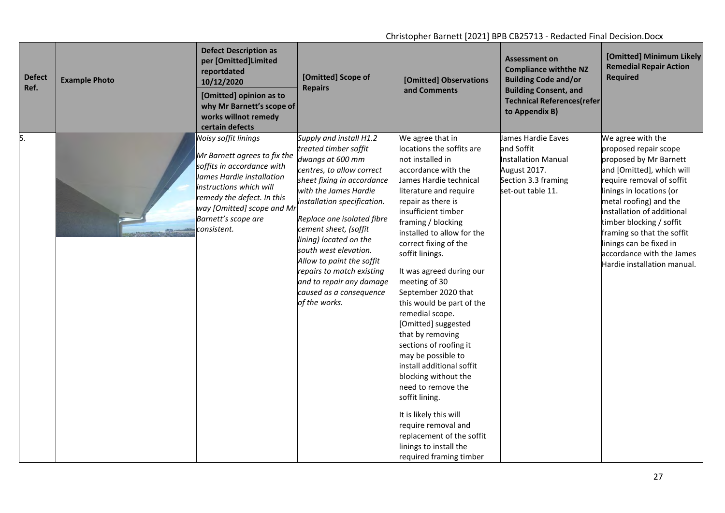| <b>Defect</b><br>Ref. | <b>Example Photo</b> | <b>Defect Description as</b><br>per [Omitted]Limited<br>reportdated<br>10/12/2020<br>[Omitted] opinion as to<br>why Mr Barnett's scope of<br>works willnot remedy<br>certain defects                                                         | [Omitted] Scope of<br><b>Repairs</b>                                                                                                                                                                                                                                                                                                                                                                                                | [Omitted] Observations<br>and Comments                                                                                                                                                                                                                                                                                                                                                                                                                                                                                                                                                                                                                                                                                                   | <b>Assessment on</b><br><b>Compliance withthe NZ</b><br><b>Building Code and/or</b><br><b>Building Consent, and</b><br><b>Technical References(refer</b><br>to Appendix B) | [Omitted] Minimum Likely<br><b>Remedial Repair Action</b><br><b>Required</b>                                                                                                                                                                                                                                                                                        |
|-----------------------|----------------------|----------------------------------------------------------------------------------------------------------------------------------------------------------------------------------------------------------------------------------------------|-------------------------------------------------------------------------------------------------------------------------------------------------------------------------------------------------------------------------------------------------------------------------------------------------------------------------------------------------------------------------------------------------------------------------------------|------------------------------------------------------------------------------------------------------------------------------------------------------------------------------------------------------------------------------------------------------------------------------------------------------------------------------------------------------------------------------------------------------------------------------------------------------------------------------------------------------------------------------------------------------------------------------------------------------------------------------------------------------------------------------------------------------------------------------------------|----------------------------------------------------------------------------------------------------------------------------------------------------------------------------|---------------------------------------------------------------------------------------------------------------------------------------------------------------------------------------------------------------------------------------------------------------------------------------------------------------------------------------------------------------------|
| 5.                    |                      | Noisy soffit linings<br>Mr Barnett agrees to fix the<br>soffits in accordance with<br>James Hardie installation<br>instructions which will<br>remedy the defect. In this<br>way [Omitted] scope and Mi<br>Barnett's scope are<br>consistent. | Supply and install H1.2<br>treated timber soffit<br>dwangs at 600 mm<br>centres, to allow correct<br>sheet fixing in accordance<br>with the James Hardie<br>installation specification.<br>Replace one isolated fibre<br>cement sheet, (soffit<br>lining) located on the<br>south west elevation.<br>Allow to paint the soffit<br>repairs to match existing<br>and to repair any damage<br>caused as a consequence<br>of the works. | We agree that in<br>locations the soffits are<br>not installed in<br>accordance with the<br>James Hardie technical<br>literature and require<br>repair as there is<br>insufficient timber<br>framing / blocking<br>installed to allow for the<br>correct fixing of the<br>soffit linings.<br>It was agreed during our<br>meeting of 30<br>September 2020 that<br>this would be part of the<br>remedial scope.<br>[Omitted] suggested<br>that by removing<br>sections of roofing it<br>may be possible to<br>install additional soffit<br>blocking without the<br>need to remove the<br>soffit lining.<br>It is likely this will<br>require removal and<br>replacement of the soffit<br>linings to install the<br>required framing timber | James Hardie Eaves<br>and Soffit<br><b>Installation Manual</b><br>August 2017.<br>Section 3.3 framing<br>set-out table 11.                                                 | We agree with the<br>proposed repair scope<br>proposed by Mr Barnett<br>and [Omitted], which will<br>require removal of soffit<br>linings in locations (or<br>metal roofing) and the<br>installation of additional<br>timber blocking / soffit<br>framing so that the soffit<br>linings can be fixed in<br>accordance with the James<br>Hardie installation manual. |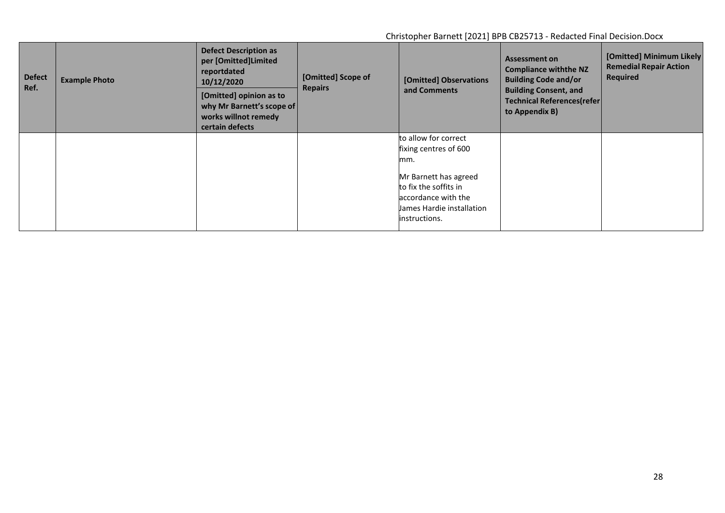| <b>Defect</b><br>Ref. | <b>Example Photo</b> | <b>Defect Description as</b><br>per [Omitted]Limited<br>reportdated<br>10/12/2020<br>[Omitted] opinion as to<br>why Mr Barnett's scope of<br>works willnot remedy<br>certain defects | [Omitted] Scope of<br><b>Repairs</b> | [Omitted] Observations<br>and Comments                                                                                                                                       | <b>Assessment on</b><br><b>Compliance withthe NZ</b><br><b>Building Code and/or</b><br><b>Building Consent, and</b><br><b>Technical References(refer)</b><br>to Appendix B) | [Omitted] Minimum Likely<br><b>Remedial Repair Action</b><br><b>Required</b> |
|-----------------------|----------------------|--------------------------------------------------------------------------------------------------------------------------------------------------------------------------------------|--------------------------------------|------------------------------------------------------------------------------------------------------------------------------------------------------------------------------|-----------------------------------------------------------------------------------------------------------------------------------------------------------------------------|------------------------------------------------------------------------------|
|                       |                      |                                                                                                                                                                                      |                                      | to allow for correct<br>fixing centres of 600<br>mm.<br>Mr Barnett has agreed<br>to fix the soffits in<br>accordance with the<br>llames Hardie installation<br>instructions. |                                                                                                                                                                             |                                                                              |